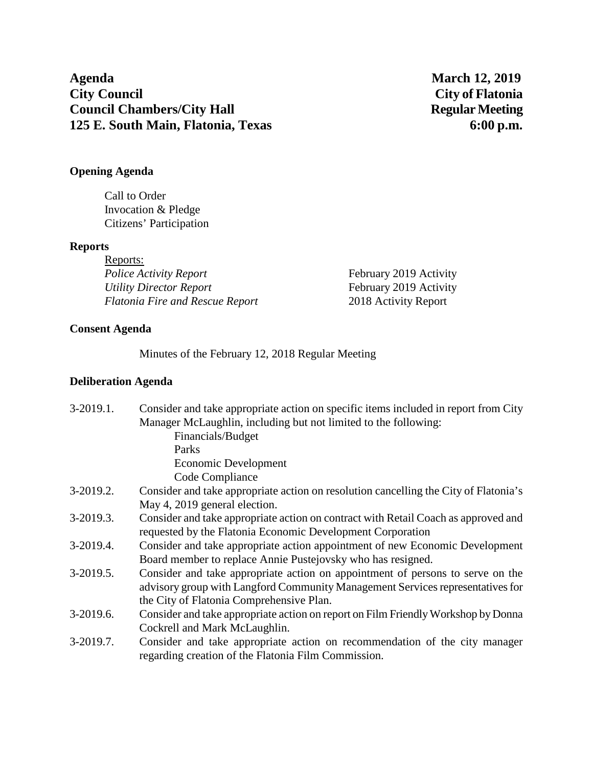**Agenda March 12, 2019 City Council City of Flatonia Council Chambers/City Hall Regular Meeting<br>
125 E. South Main, Flatonia, Texas 6:00 p.m. 125 E. South Main, Flatonia, Texas 6:00 p.m.**

# **Opening Agenda**

Call to Order Invocation & Pledge Citizens' Participation

## **Reports**

| Reports:                               |                        |
|----------------------------------------|------------------------|
| <b>Police Activity Report</b>          | February 2019 Activity |
| Utility Director Report                | February 2019 Activity |
| <b>Flatonia Fire and Rescue Report</b> | 2018 Activity Report   |

## **Consent Agenda**

Minutes of the February 12, 2018 Regular Meeting

## **Deliberation Agenda**

| $3-2019.1$ . | Consider and take appropriate action on specific items included in report from City  |
|--------------|--------------------------------------------------------------------------------------|
|              | Manager McLaughlin, including but not limited to the following:                      |
|              | Financials/Budget                                                                    |
|              | Parks                                                                                |
|              | Economic Development                                                                 |
|              | Code Compliance                                                                      |
| $3-2019.2$ . | Consider and take appropriate action on resolution cancelling the City of Flatonia's |
|              | May 4, 2019 general election.                                                        |
| $3-2019.3$ . | Consider and take appropriate action on contract with Retail Coach as approved and   |
|              | requested by the Flatonia Economic Development Corporation                           |
| 3-2019.4.    | Consider and take appropriate action appointment of new Economic Development         |
|              | Board member to replace Annie Pustejovsky who has resigned.                          |
| $3-2019.5$ . | Consider and take appropriate action on appointment of persons to serve on the       |
|              | advisory group with Langford Community Management Services representatives for       |
|              | the City of Flatonia Comprehensive Plan.                                             |
| $3-2019.6$ . | Consider and take appropriate action on report on Film Friendly Workshop by Donna    |
|              | Cockrell and Mark McLaughlin.                                                        |
| $3-2019.7$ . | Consider and take appropriate action on recommendation of the city manager           |
|              | regarding creation of the Flatonia Film Commission.                                  |